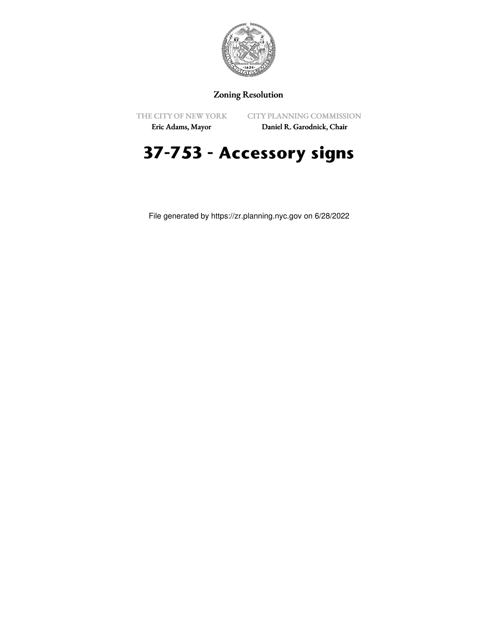

## Zoning Resolution

THE CITY OF NEW YORK

CITY PLANNING COMMISSION

Eric Adams, Mayor

Daniel R. Garodnick, Chair

## **37-753 - Accessory signs**

File generated by https://zr.planning.nyc.gov on 6/28/2022